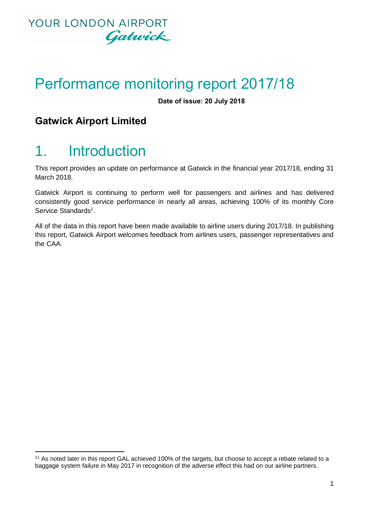

# Performance monitoring report 2017/18

**Date of issue: 20 July 2018**

### **Gatwick Airport Limited**

# 1. Introduction

1

This report provides an update on performance at Gatwick in the financial year 2017/18, ending 31 March 2018.

Gatwick Airport is continuing to perform well for passengers and airlines and has delivered consistently good service performance in nearly all areas, achieving 100% of its monthly Core Service Standards<sup>1</sup>.

All of the data in this report have been made available to airline users during 2017/18. In publishing this report, Gatwick Airport welcomes feedback from airlines users, passenger representatives and the CAA.

<sup>11</sup> As noted later in this report GAL achieved 100% of the targets, but choose to accept a rebate related to a baggage system failure in May 2017 in recognition of the adverse effect this had on our airline partners.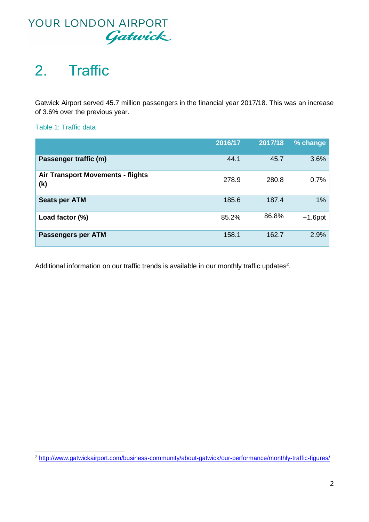

# 2. Traffic

Gatwick Airport served 45.7 million passengers in the financial year 2017/18. This was an increase of 3.6% over the previous year.

Table 1: Traffic data

 $\overline{a}$ 

|                                                 | 2016/17 | 2017/18 | % change   |
|-------------------------------------------------|---------|---------|------------|
| Passenger traffic (m)                           | 44.1    | 45.7    | 3.6%       |
| <b>Air Transport Movements - flights</b><br>(k) | 278.9   | 280.8   | 0.7%       |
| <b>Seats per ATM</b>                            | 185.6   | 187.4   | 1%         |
| Load factor (%)                                 | 85.2%   | 86.8%   | $+1.6$ ppt |
| <b>Passengers per ATM</b>                       | 158.1   | 162.7   | 2.9%       |

Additional information on our traffic trends is available in our monthly traffic updates<sup>2</sup>.

<sup>&</sup>lt;sup>2</sup> <http://www.gatwickairport.com/business-community/about-gatwick/our-performance/monthly-traffic-figures/>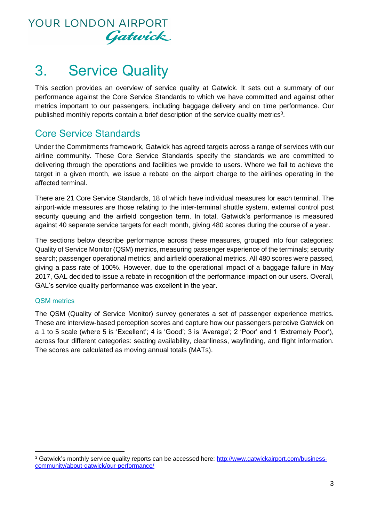

# 3. Service Quality

This section provides an overview of service quality at Gatwick. It sets out a summary of our performance against the Core Service Standards to which we have committed and against other metrics important to our passengers, including baggage delivery and on time performance. Our published monthly reports contain a brief description of the service quality metrics<sup>3</sup>.

### Core Service Standards

Under the Commitments framework, Gatwick has agreed targets across a range of services with our airline community. These Core Service Standards specify the standards we are committed to delivering through the operations and facilities we provide to users. Where we fail to achieve the target in a given month, we issue a rebate on the airport charge to the airlines operating in the affected terminal.

There are 21 Core Service Standards, 18 of which have individual measures for each terminal. The airport-wide measures are those relating to the inter-terminal shuttle system, external control post security queuing and the airfield congestion term. In total, Gatwick's performance is measured against 40 separate service targets for each month, giving 480 scores during the course of a year.

The sections below describe performance across these measures, grouped into four categories: Quality of Service Monitor (QSM) metrics, measuring passenger experience of the terminals; security search; passenger operational metrics; and airfield operational metrics. All 480 scores were passed, giving a pass rate of 100%. However, due to the operational impact of a baggage failure in May 2017, GAL decided to issue a rebate in recognition of the performance impact on our users. Overall, GAL's service quality performance was excellent in the year.

#### QSM metrics

1

The QSM (Quality of Service Monitor) survey generates a set of passenger experience metrics. These are interview-based perception scores and capture how our passengers perceive Gatwick on a 1 to 5 scale (where 5 is 'Excellent'; 4 is 'Good'; 3 is 'Average'; 2 'Poor' and 1 'Extremely Poor'), across four different categories: seating availability, cleanliness, wayfinding, and flight information. The scores are calculated as moving annual totals (MATs).

<sup>3</sup> Gatwick's monthly service quality reports can be accessed here: [http://www.gatwickairport.com/business](http://www.gatwickairport.com/business-community/about-gatwick/our-performance/)[community/about-gatwick/our-performance/](http://www.gatwickairport.com/business-community/about-gatwick/our-performance/)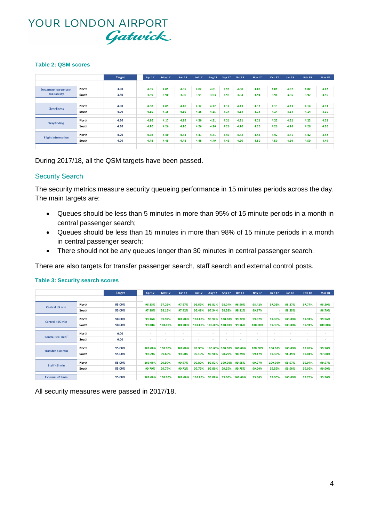#### **Table 2: QSM scores**

|                                       |       | <b>Target</b> | Apr 17 | May 17 | <b>Jun 17</b> | <b>Jul 17</b> | <b>Aug 17</b> | Sep 17 | <b>Oct 17</b> | <b>Nov 17</b> | <b>Dec 17</b> | <b>Jan 18</b> | Feb 18 | Mar 18 |
|---------------------------------------|-------|---------------|--------|--------|---------------|---------------|---------------|--------|---------------|---------------|---------------|---------------|--------|--------|
|                                       |       |               |        |        |               |               |               |        |               |               |               |               |        |        |
| Departure lounge seat<br>availability | North | 3.80          | 4.05   | 4.05   | 4.05          | 4.02          | 4.01          | 3.99   | 4.00          | 4.00          | 4.01          | 4.02          | 4.02   |        |
|                                       | South | 3.80          | 3.89   | 3.90   | 3.90          | 3.91          | 3.93          | 3.93   | 3.94          | 3.94          | 3.96          | 3.96          | 3.97   |        |
|                                       |       |               |        |        |               |               |               |        |               |               |               |               |        |        |
| <b>Cleanliness</b>                    | North | 4.00          | 4.08   | 4.09   | 4.10          | 4.12          | 4.12          | 4.12   | 4.13          | 4.13          | 4.13          | 4.13          | 4.14   |        |
|                                       | South | 4.00          | 4.15   | 4.15   | 4.16          | 4.16          | 4.15          | 4.14   | 4.14          | 4.14          | 4.14          | 4.14          | 4.14   |        |
|                                       |       |               |        |        |               |               |               |        |               |               |               |               |        |        |
| Wayfinding                            | North | 4.10          | 4.16   | 4.17   | 4.19          | 4.20          | 4.21          | 4.21   | 4.21          | 4.21          | 4.22          | 4.22          | 4.22   |        |
|                                       | South | 4.10          | 4.26   | 4.26   | 4.26          | 4.26          | 4.26          | 4.26   | 4.26          | 4.26          | 4.26          | 4.26          | 4.26   |        |
|                                       |       |               |        |        |               |               |               |        |               |               |               |               |        |        |
|                                       | North | 4.20          | 4.38   | 4.40   | 4.41          | 4.41          | 4.41          | 4.41   | 4.42          | 4.42          | 4.42          | 4.41          | 4.42   |        |
| <b>Flight information</b>             | South | 4.20          | 4.48   | 4.49   | 4.48          | 4.48          | 4.49          | 4.49   | 4.50          | 4.50          | 4.50          | 4.50          | 4.50   |        |
|                                       |       |               |        |        |               |               |               |        |               |               |               |               |        |        |

During 2017/18, all the QSM targets have been passed.

#### Security Search

The security metrics measure security queueing performance in 15 minutes periods across the day. The main targets are:

- Queues should be less than 5 minutes in more than 95% of 15 minute periods in a month in central passenger search;
- Queues should be less than 15 minutes in more than 98% of 15 minute periods in a month in central passenger search;
- There should not be any queues longer than 30 minutes in central passenger search.

There are also targets for transfer passenger search, staff search and external control posts.

|                                |       | <b>Target</b> | Apr 17                   | May 17         | <b>Jun 17</b> | <b>Jul 17</b> | <b>Aug 17</b> | Sep 17  | <b>Oct 17</b>  | Nov <sub>17</sub> | <b>Dec 17</b>            | <b>Jan 18</b>  | Feb 18                               | <b>Mar 18</b> |
|--------------------------------|-------|---------------|--------------------------|----------------|---------------|---------------|---------------|---------|----------------|-------------------|--------------------------|----------------|--------------------------------------|---------------|
|                                |       |               |                          |                |               |               |               |         |                |                   |                          |                |                                      |               |
| Central <5 min                 | North | 95.00%        | 96.83%                   | 97.26%         | 97.67%        | 96.69%        | 96.81%        | 98.04%  | 96.90%         | 98.42%            | 97.02%                   | 98.87%         | 97.77%                               | 98.39%        |
|                                | South | 95.00%        | 97.88%                   | 98.15%         | 97.92%        | 96.41%        | 97.34%        | 98.38%  | 98.31%         | 99.17%            |                          | 98.35%         |                                      | 98.79%        |
|                                |       |               |                          |                |               |               |               |         |                |                   |                          |                |                                      |               |
| Central <15 min                | North | 98.00%        | 99.96%                   | 99.92%         | 100.00%       | 100.00%       | 99.92%        | 100.00% | 99.72%         | 99.92%            | 99.96%                   | 100.00%        | 99.91%                               | 99.96%        |
|                                | South | 98.00%        | 99.88%                   | 100.00%        | 100.00%       | 100.00%       | 100.00%       | 100.00% | 99.96%         | 100.00%           | 99.96%                   | 100.00%        | 99.91%                               | 100.00%       |
|                                |       |               |                          |                |               |               |               |         |                |                   |                          |                |                                      |               |
|                                | North | 0.00          | $\overline{\phantom{a}}$ | $\blacksquare$ | $\sim$        | $\sim$        | ٠             |         | $\sim$         | $\blacksquare$    | $\overline{\phantom{a}}$ | $\blacksquare$ | $\sim$                               | $\sim$        |
| Central $>30$ min <sup>2</sup> | South | 0.00          | $\sim$                   | ٠              |               | ٠             | ٠             |         | $\blacksquare$ | $\blacksquare$    |                          | $\blacksquare$ |                                      | $\sim$        |
|                                |       |               |                          |                |               |               |               |         |                |                   |                          |                |                                      |               |
| Transfer <10 min               | North | 95.00%        | 100,00%                  | 100.00%        | 100.00%       | 99.90%        | 100.00%       | 100.00% | 100,00%        | 100,00%           | 100.00%                  | 100.00%        | 99.89%                               | 99.90%        |
|                                | South | 95.00%        | 99.69%                   | 99.60%         | 99.60%        | 99.19%        | 99.90%        | 98.29%  | 98.79%         | 99.17%            | 99.50%                   | 98.49%         | 98.81%<br>99.97%<br>99.95%<br>99.78% | 97.08%        |
|                                |       |               |                          |                |               |               |               |         |                |                   |                          |                |                                      |               |
| Staff <5 min                   | North | 95.00%        | 100.00%                  | 99.97%         | 99.97%        | 99.82%        | 99.92%        | 100.00% | 99.95%         | 99.97%            | 100.00%                  | 99.97%         |                                      | 99.57%        |
|                                | South | 95.00%        | 99.79%                   | 99.77%         | 99.72%        | 99.75%        | 99.80%        | 99.55%  | 99.75%         | 99.90%            | 99.85%                   | 99.90%         |                                      | 99.60%        |
|                                |       |               |                          |                |               |               |               |         |                |                   |                          |                |                                      |               |
| <b>External &lt;15min</b>      |       | 95.00%        | 100.00%                  | 100.00%        | 100.00%       | 100.00%       | 99.80%        | 99.90%  | 100.00%        | 99.90%            | 99.90%                   | 100.00%        |                                      | 99.90%        |

#### **Table 3: Security search scores**

All security measures were passed in 2017/18.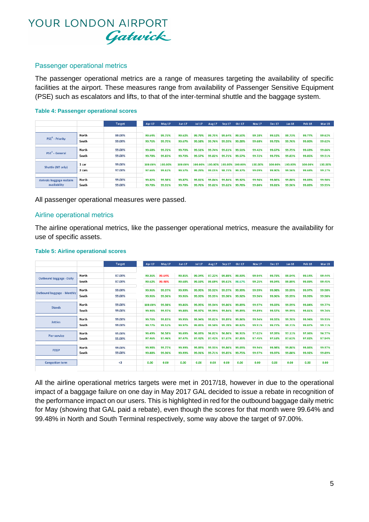#### Passenger operational metrics

The passenger operational metrics are a range of measures targeting the availability of specific facilities at the airport. These measures range from availability of Passenger Sensitive Equipment (PSE) such as escalators and lifts, to that of the inter-terminal shuttle and the baggage system.

#### **Table 4: Passenger operational scores**

|                             |        | <b>Target</b> | Apr 17  | May 17  | <b>Jun 17</b> | <b>Jul 17</b> | <b>Aug 17</b> | <b>Sep 17</b> | <b>Oct 17</b> | Nov <sub>17</sub> | <b>Dec 17</b> | Jan 18  | Feb 18  | <b>Mar 18</b> |
|-----------------------------|--------|---------------|---------|---------|---------------|---------------|---------------|---------------|---------------|-------------------|---------------|---------|---------|---------------|
|                             |        |               |         |         |               |               |               |               |               |                   |               |         |         |               |
|                             | North  | 99.00%        | 99.64%  | 99.73%  | 99.62%        | 99.79%        | 99.75%        | 99.64%        | 99.50%        | 99.18%            | 99.52%        | 99.73%  | 99.77%  | 99.62%        |
| PSE <sup>3</sup> - Priority | South  | 99.00%        | 99.76%  | 99.75%  | 99.67%        | 99.58%        | 99.76%        | 99.59%        | 99.28%        | 99.68%            | 99.72%        | 99.76%  | 99.80%  | 99.62%        |
|                             |        |               |         |         |               |               |               |               |               |                   |               |         |         |               |
| $PSE3 - General$            | North  | 99.00%        | 99.68%  | 99.72%  | 99.70%        | 99.51%        | 99.74%        | 99.61%        | 99.51%        | 99.42%            | 99.67%        | 99.75%  | 99.69%  | 99.66%        |
|                             | South  | 99.00%        | 99.78%  | 99.83%  | 99.70%        | 99.57%        | 99.82%        | 99.71%        | 99.57%        | 99.72%            | 99.73%        | 99.83%  | 99.85%  | 99.51%        |
|                             |        |               |         |         |               |               |               |               |               |                   |               |         |         |               |
| Shuttle (NT only)           | 1 car  | 99.00%        | 100.00% | 100.00% | 100.00%       | 100.00%       | 100.00%       | 100.00%       | 100.00%       | 100.00%           | 100.00%       | 100.00% | 100.00% | 100.00%       |
|                             | 2 cars | 97.00%        | 97.66%  | 99.62%  | 99.57%        | 99.29%        | 99.05%        | 98.73%        | 99.37%        | 99.09%            | 99.90%        | 99.56%  | 99.69%  | 99.27%        |
|                             |        |               |         |         |               |               |               |               |               |                   |               |         |         |               |
| Arrivals baggage reclaim    | North  | 99.00%        | 99.82%  | 99.98%  | 99.87%        | 99.81%        | 99.84%        | 99.84%        | 99.92%        | 99.96%            | 99.86%        | 99.88%  | 99.89%  | 99.90%        |
| availability                | South  | 99.00%        | 99.78%  | 99.91%  | 99.78%        | 99.76%        | 99.82%        | 99.62%        | 99.78%        | 99.80%            | 99.81%        | 99.96%  | 99.89%  | 99.95%        |

All passenger operational measures were passed.

#### Airline operational metrics

The airline operational metrics, like the passenger operational metrics, measure the availability for use of specific assets.

|                                |       | <b>Target</b> | Apr 17  | May 17 | <b>Jun 17</b> | <b>Jul 17</b> | <b>Aug 17</b> | <b>Sep 17</b> | <b>Oct 17</b> | Nov <sub>17</sub> | <b>Dec 17</b> | <b>Jan 18</b> | Feb 18 | Mar 18 |
|--------------------------------|-------|---------------|---------|--------|---------------|---------------|---------------|---------------|---------------|-------------------|---------------|---------------|--------|--------|
|                                |       |               |         |        |               |               |               |               |               |                   |               |               |        |        |
| <b>Outbound baggage -Daily</b> | North | 97.00%        | 99.36%  | 99.64% | 99.85%        | 99.04%        | 97.22%        | 99.88%        | 99.93%        | 99.94%            | 99.73%        | 99.94%        | 99.54% | 99.44% |
|                                | South | 97.00%        | 99.62%  | 99.48% | 99.68%        | 99.59%        | 99.69%        | 99.61%        | 98.67%        | 99.25%            | 99.34%        | 99.89%        | 99.89% | 99.45% |
|                                |       |               |         |        |               |               |               |               |               |                   |               |               |        |        |
| Outbound baggage - Monthly     | North | 99.00%        | 99.96%  | 99.97% | 99.99%        | 99.95%        | 99.92%        | 99.97%        | 99.99%        | 99.99%            | 99.98%        | 99.99%        | 99.97% | 99.98% |
|                                | South | 99.00%        | 99.96%  | 99.96% | 99.96%        | 99.93%        | 99.95%        | 99.98%        | 99.92%        | 99.96%            | 99.96%        | 99.99%        | 99.99% | 99.98% |
|                                |       |               |         |        |               |               |               |               |               |                   |               |               |        |        |
| <b>Stands</b>                  | North | 99.00%        | 100.00% | 99.98% | 99.86%        | 99.95%        | 99.94%        | 99.86%        | 99.89%        | 99.97%            | 99.69%        | 99.99%        | 99.84% | 99.77% |
|                                | South | 99.00%        | 99.96%  | 99.97% | 99.88%        | 99.97%        | 99.99%        | 99.84%        | 99.89%        | 99.89%            | 99.57%        | 99.99%        | 99.81% | 99.74% |
|                                |       |               |         |        |               |               |               |               |               |                   |               |               |        |        |
| <b>Jetties</b>                 | North | 99.00%        | 99.76%  | 99.83% | 99.95%        | 99.94%        | 99.82%        | 99.89%        | 99.86%        | 99.94%            | 99.55%        | 99.70%        | 99.94% | 99.93% |
|                                | South | 99.00%        | 99.77%  | 99.52% | 99.97%        | 99.85%        | 99.50%        | 99.78%        | 99.82%        | 99.91%            | 99.77%        | 99.71%        | 99.87% | 99.71% |
|                                |       |               |         |        |               |               |               |               |               |                   |               |               |        |        |
| <b>Pier service</b>            | North | 95.00%        | 96.49%  | 96.58% | 96.69%        | 96.69%        | 96.82%        | 96.86%        | 96.91%        | 97.02%            | 97.09%        | 97.11%        | 97.06% | 96.77% |
|                                | South | 95.00%        | 97.46%  | 97.46% | 97.47%        | 97.42%        | 97.42%        | 97.37%        | 97.35%        | 97.45%            | 97.53%        | 97.61%        | 97.82% | 97.94% |
|                                |       |               |         |        |               |               |               |               |               |                   |               |               |        |        |
| <b>FEGP</b>                    | North | 99.00%        | 99.98%  | 99.77% | 99.99%        | 99.89%        | 99.93%        | 99.86%        | 99.69%        | 99.94%            | 99.98%        | 99.80%        | 99.86% | 99.97% |
|                                | South | 99.00%        | 99.88%  | 99.96% | 99.99%        | 99.91%        | 99.71%        | 99.85%        | 99.75%        | 99.97%            | 99.97%        | 99.88%        | 99.92% | 99.89% |
|                                |       |               |         |        |               |               |               |               |               |                   |               |               |        |        |
| <b>Congestion term</b>         |       | $3$           | 0.00    | 0.00   | 0.00          | 0.00          | 0.00          | 0.00          | 0.00          | 0.00              | 0.00          | 0.00          | 0.00   | 0.00   |
|                                |       |               |         |        |               |               |               |               |               |                   |               |               |        |        |

#### **Table 5: Airline operational scores**

All the airline operational metrics targets were met in 2017/18, however in due to the operational impact of a baggage failure on one day in May 2017 GAL decided to issue a rebate in recognition of the performance impact on our users. This is highlighted in red for the outbound baggage daily metric for May (showing that GAL paid a rebate), even though the scores for that month were 99.64% and 99.48% in North and South Terminal respectively, some way above the target of 97.00%.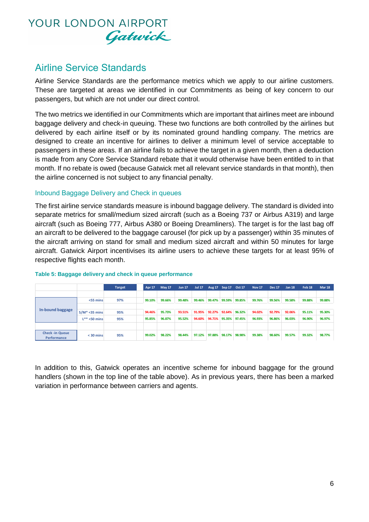### Airline Service Standards

Airline Service Standards are the performance metrics which we apply to our airline customers. These are targeted at areas we identified in our Commitments as being of key concern to our passengers, but which are not under our direct control.

The two metrics we identified in our Commitments which are important that airlines meet are inbound baggage delivery and check-in queuing. These two functions are both controlled by the airlines but delivered by each airline itself or by its nominated ground handling company. The metrics are designed to create an incentive for airlines to deliver a minimum level of service acceptable to passengers in these areas. If an airline fails to achieve the target in a given month, then a deduction is made from any Core Service Standard rebate that it would otherwise have been entitled to in that month. If no rebate is owed (because Gatwick met all relevant service standards in that month), then the airline concerned is not subject to any financial penalty.

#### Inbound Baggage Delivery and Check in queues

The first airline service standards measure is inbound baggage delivery. The standard is divided into separate metrics for small/medium sized aircraft (such as a Boeing 737 or Airbus A319) and large aircraft (such as Boeing 777, Airbus A380 or Boeing Dreamliners). The target is for the last bag off an aircraft to be delivered to the baggage carousel (for pick up by a passenger) within 35 minutes of the aircraft arriving on stand for small and medium sized aircraft and within 50 minutes for large aircraft. Gatwick Airport incentivises its airline users to achieve these targets for at least 95% of respective flights each month.

|                                       |                   | <b>Target</b> | <b>Apr 17</b> | <b>May 17</b> | <b>Jun 17</b> | <b>Jul 17</b> |        | Aug 17 Sep 17 Oct 17 |        | <b>Nov 17</b> | <b>Dec 17</b> | <b>Jan 18</b> | Feb <sub>18</sub> | <b>Mar 18</b> |
|---------------------------------------|-------------------|---------------|---------------|---------------|---------------|---------------|--------|----------------------|--------|---------------|---------------|---------------|-------------------|---------------|
|                                       |                   |               |               |               |               |               |        |                      |        |               |               |               |                   |               |
|                                       | $<$ 55 mins       | 97%           | 99.10%        | 99.66%        | 99.48%        | 99.46%        | 99.47% | 99.59%               | 99.85% | 99.76%        | 99.56%        | 99.58%        | 99.88%            | 99.88%        |
|                                       |                   |               |               |               |               |               |        |                      |        |               |               |               |                   |               |
| In-bound baggage                      | $S/M^* < 35$ mins | 95%           | 94.46%        | 95.73%        | 93.51%        | 91.95%        | 92.27% | 92.64%               | 96.32% | 94.02%        | 92.79%        | 92.06%        | 95.11%            | 95.30%        |
|                                       | $L^{**}$ <50 mins | 95%           | 95.85%        | 96.87%        | 95.52%        | 94.60%        | 94.71% | 95.35%               | 97.45% | 96.93%        | 96.86%        | 96.03%        | 96.90%            | 96.97%        |
|                                       |                   |               |               |               |               |               |        |                      |        |               |               |               |                   |               |
| <b>Check -in Queue</b><br>Performance | $<$ 30 mins       | 95%           | 99.02%        | 98.22%        | 98.44%        | 97.12%        | 97.88% | 98.17%               | 98.98% | 99.38%        | 98.60%        | 99.57%        | 99.32%            | 98.77%        |

#### **Table 5: Baggage delivery and check in queue performance**

In addition to this, Gatwick operates an incentive scheme for inbound baggage for the ground handlers (shown in the top line of the table above). As in previous years, there has been a marked variation in performance between carriers and agents.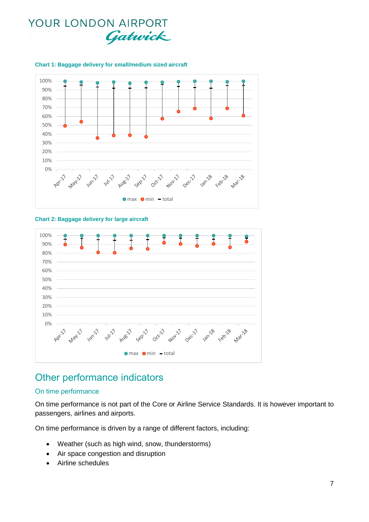

#### **Chart 1: Baggage delivery for small/medium sized aircraft**

#### **Chart 2: Baggage delivery for large aircraft**



### Other performance indicators

#### On time performance

On time performance is not part of the Core or Airline Service Standards. It is however important to passengers, airlines and airports.

On time performance is driven by a range of different factors, including:

- Weather (such as high wind, snow, thunderstorms)
- Air space congestion and disruption
- Airline schedules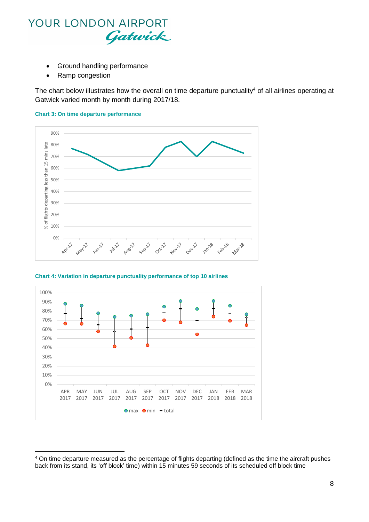

- Ground handling performance
- Ramp congestion

1

The chart below illustrates how the overall on time departure punctuality<sup>4</sup> of all airlines operating at Gatwick varied month by month during 2017/18.





**Chart 4: Variation in departure punctuality performance of top 10 airlines**



<sup>4</sup> On time departure measured as the percentage of flights departing (defined as the time the aircraft pushes back from its stand, its 'off block' time) within 15 minutes 59 seconds of its scheduled off block time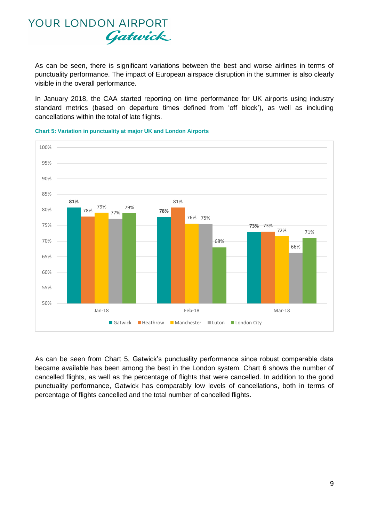As can be seen, there is significant variations between the best and worse airlines in terms of punctuality performance. The impact of European airspace disruption in the summer is also clearly visible in the overall performance.

In January 2018, the CAA started reporting on time performance for UK airports using industry standard metrics (based on departure times defined from 'off block'), as well as including cancellations within the total of late flights.



**Chart 5: Variation in punctuality at major UK and London Airports**

As can be seen from Chart 5, Gatwick's punctuality performance since robust comparable data became available has been among the best in the London system. Chart 6 shows the number of cancelled flights, as well as the percentage of flights that were cancelled. In addition to the good punctuality performance, Gatwick has comparably low levels of cancellations, both in terms of percentage of flights cancelled and the total number of cancelled flights.